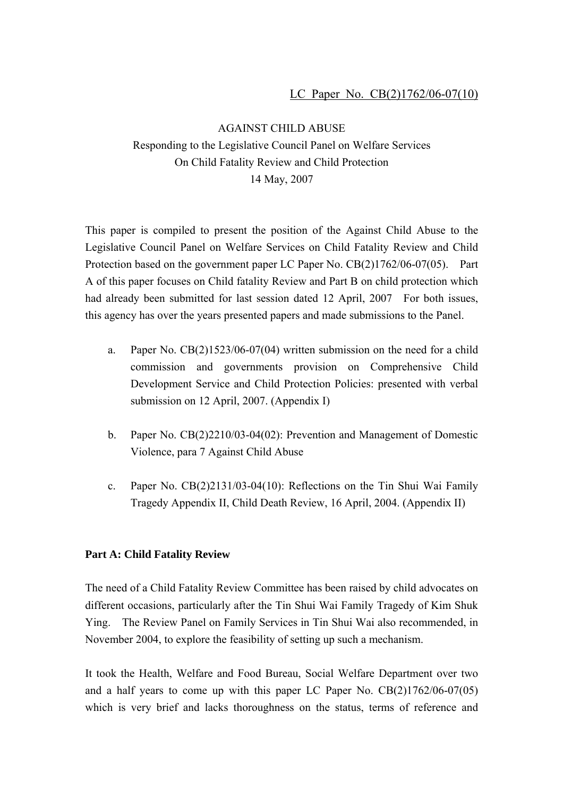AGAINST CHILD ABUSE Responding to the Legislative Council Panel on Welfare Services On Child Fatality Review and Child Protection 14 May, 2007

This paper is compiled to present the position of the Against Child Abuse to the Legislative Council Panel on Welfare Services on Child Fatality Review and Child Protection based on the government paper LC Paper No. CB(2)1762/06-07(05). Part A of this paper focuses on Child fatality Review and Part B on child protection which had already been submitted for last session dated 12 April, 2007 For both issues, this agency has over the years presented papers and made submissions to the Panel.

- a. Paper No. CB(2)1523/06-07(04) written submission on the need for a child commission and governments provision on Comprehensive Child Development Service and Child Protection Policies: presented with verbal submission on 12 April, 2007. (Appendix I)
- b. Paper No. CB(2)2210/03-04(02): Prevention and Management of Domestic Violence, para 7 Against Child Abuse
- c. Paper No. CB(2)2131/03-04(10): Reflections on the Tin Shui Wai Family Tragedy Appendix II, Child Death Review, 16 April, 2004. (Appendix II)

# **Part A: Child Fatality Review**

The need of a Child Fatality Review Committee has been raised by child advocates on different occasions, particularly after the Tin Shui Wai Family Tragedy of Kim Shuk Ying. The Review Panel on Family Services in Tin Shui Wai also recommended, in November 2004, to explore the feasibility of setting up such a mechanism.

It took the Health, Welfare and Food Bureau, Social Welfare Department over two and a half years to come up with this paper LC Paper No. CB(2)1762/06-07(05) which is very brief and lacks thoroughness on the status, terms of reference and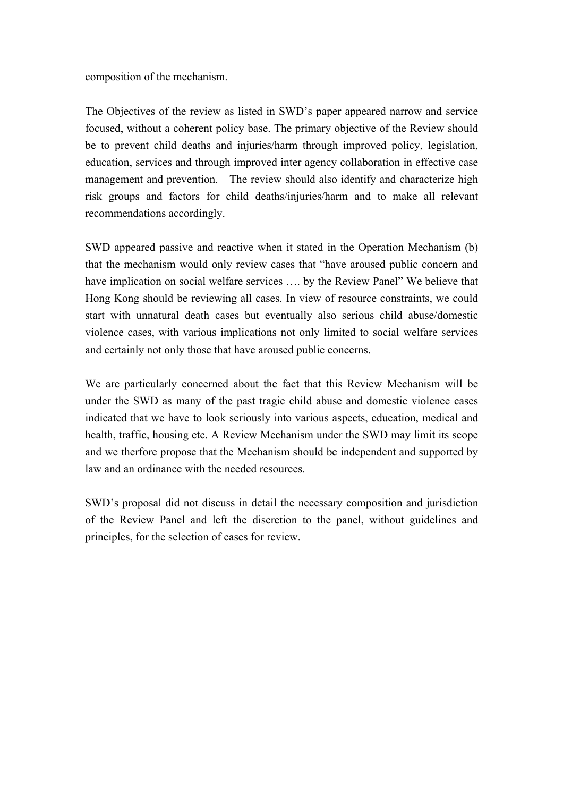composition of the mechanism.

The Objectives of the review as listed in SWD's paper appeared narrow and service focused, without a coherent policy base. The primary objective of the Review should be to prevent child deaths and injuries/harm through improved policy, legislation, education, services and through improved inter agency collaboration in effective case management and prevention. The review should also identify and characterize high risk groups and factors for child deaths/injuries/harm and to make all relevant recommendations accordingly.

SWD appeared passive and reactive when it stated in the Operation Mechanism (b) that the mechanism would only review cases that "have aroused public concern and have implication on social welfare services …. by the Review Panel" We believe that Hong Kong should be reviewing all cases. In view of resource constraints, we could start with unnatural death cases but eventually also serious child abuse/domestic violence cases, with various implications not only limited to social welfare services and certainly not only those that have aroused public concerns.

We are particularly concerned about the fact that this Review Mechanism will be under the SWD as many of the past tragic child abuse and domestic violence cases indicated that we have to look seriously into various aspects, education, medical and health, traffic, housing etc. A Review Mechanism under the SWD may limit its scope and we therfore propose that the Mechanism should be independent and supported by law and an ordinance with the needed resources.

SWD's proposal did not discuss in detail the necessary composition and jurisdiction of the Review Panel and left the discretion to the panel, without guidelines and principles, for the selection of cases for review.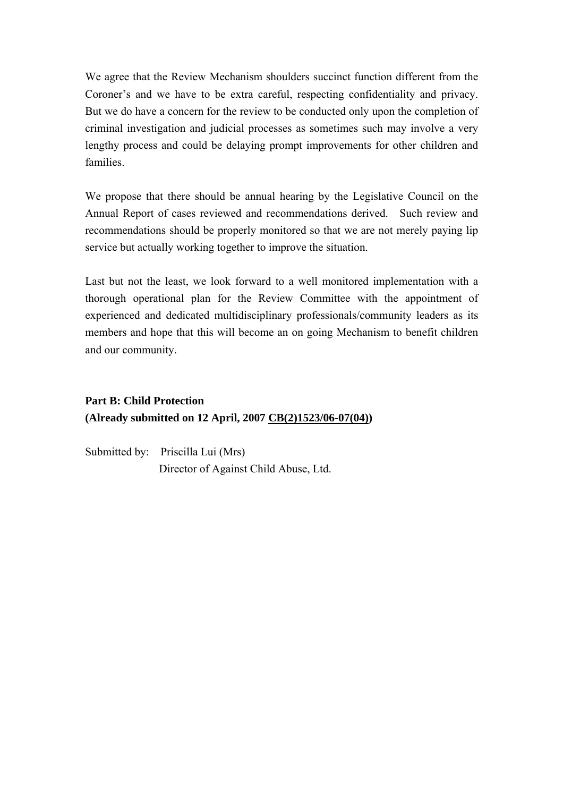We agree that the Review Mechanism shoulders succinct function different from the Coroner's and we have to be extra careful, respecting confidentiality and privacy. But we do have a concern for the review to be conducted only upon the completion of criminal investigation and judicial processes as sometimes such may involve a very lengthy process and could be delaying prompt improvements for other children and families.

We propose that there should be annual hearing by the Legislative Council on the Annual Report of cases reviewed and recommendations derived. Such review and recommendations should be properly monitored so that we are not merely paying lip service but actually working together to improve the situation.

Last but not the least, we look forward to a well monitored implementation with a thorough operational plan for the Review Committee with the appointment of experienced and dedicated multidisciplinary professionals/community leaders as its members and hope that this will become an on going Mechanism to benefit children and our community.

# **Part B: Child Protection (Already submitted on 12 April, 2007 CB(2)1523/06-07(04))**

Submitted by: Priscilla Lui (Mrs) Director of Against Child Abuse, Ltd.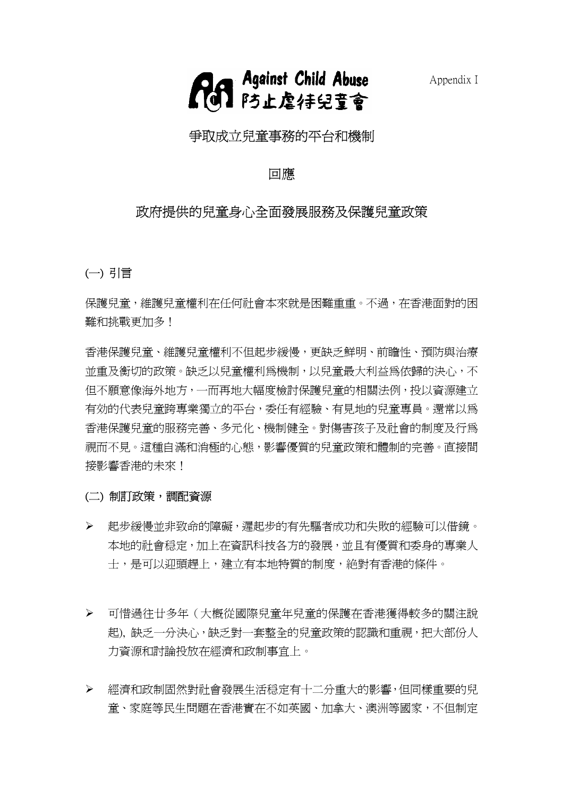



# 爭取成立兒童事務的平台和機制

# 回應

# 政府提供的兒童身心全面發展服務及保護兒童政策

(一) 引言

保護兒童,維護兒童權利在任何社會本來就是困難重重。不過,在香港面對的困 難和挑戰更加多!

香港保護兒童、維護兒童權利不但起步緩慢,更缺乏鮮明、前瞻性、預防與治療 並重及衡切的政策。缺乏以兒童權利為機制,以兒童最大利益為依歸的決心,不 但不願意像海外地方,一而再地大幅度檢討保護兒童的相關法例,投以資源建立 有効的代表兒童跨專業獨立的平台,委任有經驗、有見地的兒童專員。還常以為 香港保護兒童的服務完善、多元化、機制健全。對傷害孩子及社會的制度及行為 視而不見。這種自滿和消極的心態,影響優質的兒童政策和體制的完善。直接間 接影響香港的未來!

#### (二) 制訂政策,調配資源

- ¾ 起步緩慢並非致命的障礙,遲起步的有先驅者成功和失敗的經驗可以借鏡。 本地的社會穏定,加上在資訊科技各方的發展,並且有優質和委身的專業人 士,是可以迎頭趕上,建立有本地特質的制度,絶對有香港的條件。
- ¾ 可惜過往廿多年(大概從國際兒童年兒童的保護在香港獲得較多的關注說 起), 缺乏一分決心,缺乏對一套整全的兒童政策的認識和重視,把大部份人 力資源和討論投放在經濟和政制事宜上。
- ¾ 經濟和政制固然對社會發展生活穏定有十二分重大的影響,但同樣重要的兒 童、家庭等民生問題在香港實在不如英國、加拿大、澳洲等國家,不但制定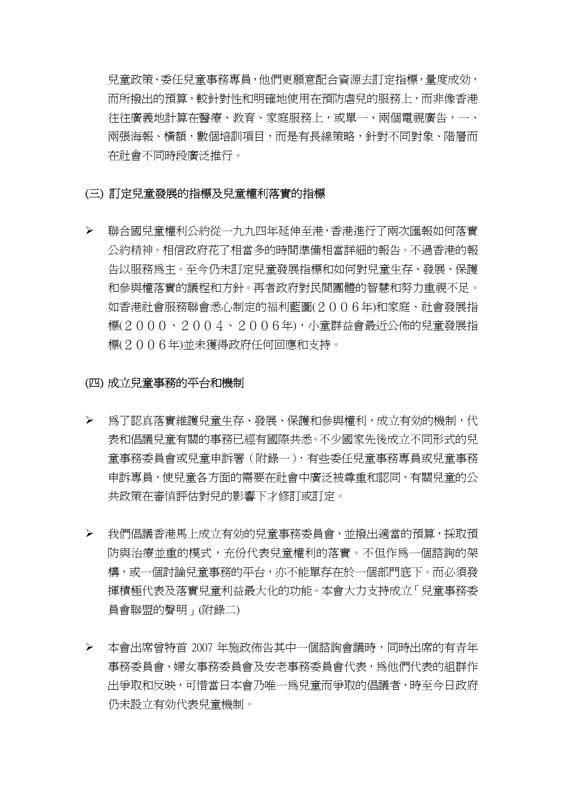兒童政策、委任兒童事務專員,他們更願意配合資源去訂定指標,量度成効, 而所撥出的預算,較針對性和明確地使用在預防虐兒的服務上,而非像香港 往往廣義地計算在醫療、教育、家庭服務上,或單一、兩個電視廣告,一、 兩張海報、橫額,數個培訓項目,而是有長線策略,針對不同對象、階層而 在社會不同時段廣泛推行。

### (三) 訂定兒童發展的指標及兒童權利落實的指標

¾ 聯合國兒童權利公約從一九九四年延伸至港,香港進行了兩次匯報如何落實 公約精神。相信政府花了相當多的時間準備相當詳細的報告。不過香港的報 告以服務為主。至今仍未訂定兒童發展指標和如何對兒童生存、發展、保護 和參與權落實的議程和方針。再者政府對民間團體的智慧和努力重視不足。 如香港社會服務聯會悉心制定的福利藍圖(2006年)和家庭、社會發展指 標(2000、2004、2006年),小童群益會最近公佈的兒童發展指 標(2006年)並未獲得政府任何回應和支持。

#### (四) 成立兒童事務的平台和機制

- ¾ 為了認真落實維護兒童生存、發展、保護和參與權利,成立有効的機制,代 表和倡議兒童有關的事務已經有國際共悉。不少國家先後成立不同形式的兒 童事務委員會或兒童申訴署(附錄一),有些委任兒童事務專員或兒童事務 申訴專員,使兒童各方面的需要在社會中廣泛被尊重和認同,有關兒童的公 共政策在審慎評估對兒的影響下才修訂或訂定。
- ¾ 我們倡議香港馬上成立有効的兒童事務委員會,並撥出適當的預算,採取預 防與治療並重的模式,充份代表兒童權利的落實。不但作為一個諮詢的架 構,或一個討論兒童事務的平台,亦不能單存在於一個部門底下。而必須發 揮積極代表及落實兒童利益最大化的功能。本會大力支持成立「兒童事務委 員會聯盟的聲明」(附錄二)
- ¾ 本會出席曾特首 2007 年施政佈告其中一個諮詢會議時,同時出席的有青年 事務委員會、婦女事務委員會及安老事務委員會代表,為他們代表的組群作 出爭取和反映,可惜當日本會乃唯一為兒童而爭取的倡議者,時至今日政府 仍未設立有効代表兒童機制。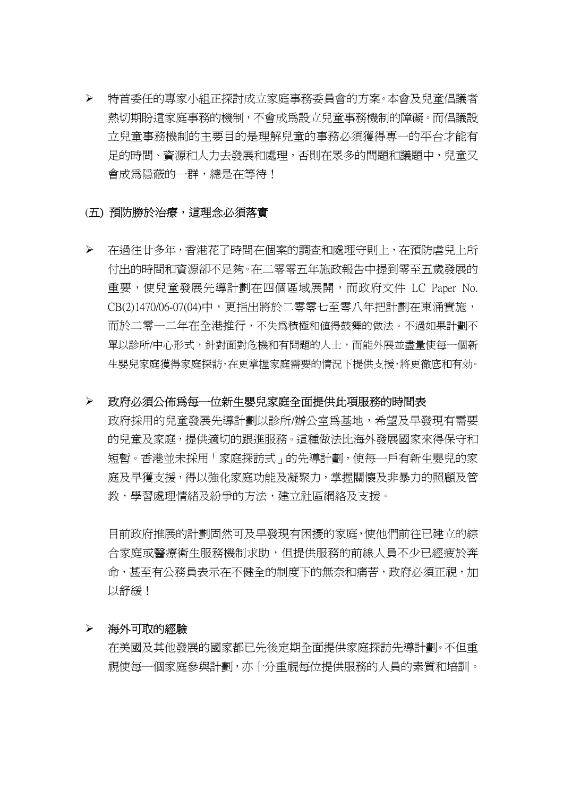¾ 特首委任的專家小組正探討成立家庭事務委員會的方案。本會及兒童倡議者 熱切期盼這家庭事務的機制,不會成為設立兒童事務機制的障礙。而倡議設 立兒童事務機制的主要目的是理解兒童的事務必須獲得專一的平台才能有 足的時間、資源和人力去發展和處理,否則在眾多的問題和議題中,兒童又 會成為隠蔽的一群,總是在等待!

#### (五) 預防勝於治療,這理念必須落實

¾ 在過往廿多年,香港花了時間在個案的調查和處理守則上,在預防虐兒上所 付出的時間和資源卻不足夠。在二零零五年施政報告中提到零至五歲發展的 重要,使兒童發展先導計劃在四個區域展開,而政府文件 LC Paper No. CB(2)1470/06-07(04)中,更指出將於二零零七至零八年把計劃在東涌實施, 而於二零一二年在全港推行,不失為積極和值得鼓舞的做法。不過如果計劃不 單以診所/中心形式,針對面對危機和有問題的人士,而能外展並盡量使每一個新 生嬰兒家庭獲得家庭探訪,在更掌握家庭需要的情況下提供支援,將更徹底和有効。

#### ¾ 政府必須公佈為每一位新生嬰兒家庭全面提供此項服務的時間表

政府採用的兒童發展先導計劃以診所/辦公室為基地,希望及早發現有需要 的兒童及家庭,提供適切的跟進服務。這種做法比海外發展國家來得保守和 短暫。香港並未採用「家庭探訪式」的先導計劃,使每一戶有新生嬰兒的家 庭及早獲支援,得以強化家庭功能及凝聚力,掌握關懷及非暴力的照顧及管 教,學習處理情緒及紛爭的方法,建立社區網絡及支援。

 目前政府推展的計劃固然可及早發現有困擾的家庭,使他們前往已建立的綜 合家庭或醫療衛生服務機制求助,但提供服務的前線人員不少已經疲於奔 命,甚至有公務員表示在不健全的制度下的無奈和痛苦,政府必須正視,加 以舒緩!

#### ¾ 海外可取的經驗

 在美國及其他發展的國家都已先後定期全面提供家庭探訪先導計劃。不但重 視使每一個家庭參與計劃,亦十分重視每位提供服務的人員的素質和培訓。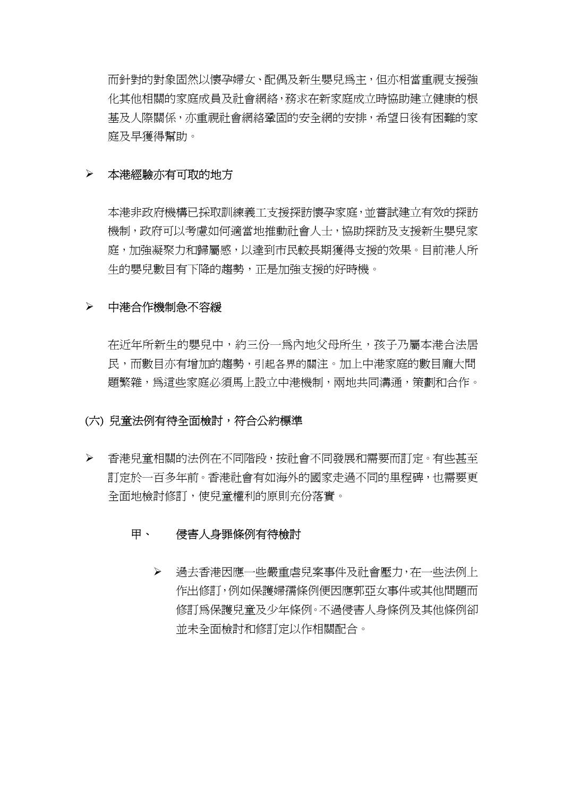而針對的對象固然以懷孕婦女、配偶及新生嬰兒為主,但亦相當重視支援強 化其他相關的家庭成員及社會網絡,務求在新家庭成立時協助建立健康的根 基及人際關係,亦重視社會網絡鞏固的安全網的安排,希望日後有困難的家 庭及早獲得幫助。

#### ¾ 本港經驗亦有可取的地方

 本港非政府機構已採取訓練義工支援探訪懷孕家庭,並嘗試建立有效的探訪 機制,政府可以考慮如何適當地推動社會人士,協助探訪及支援新生嬰兒家 庭,加強凝聚力和歸屬感,以達到市民較長期獲得支援的效果。目前港人所 生的嬰兒數目有下降的趨勢,正是加強支援的好時機。

# ¾ 中港合作機制急不容緩

 在近年所新生的嬰兒中,約三份一為內地父母所生,孩子乃屬本港合法居 民,而數目亦有增加的趨勢,引起各界的關注。加上中港家庭的數目龐大問 題繁雜,為這些家庭必須馬上設立中港機制,兩地共同溝通,策劃和合作。

#### (六) 兒童法例有待全面檢討,符合公約標準

¾ 香港兒童相關的法例在不同階段,按社會不同發展和需要而訂定。有些甚至 訂定於一百多年前。香港社會有如海外的國家走過不同的里程碑,也需要更 全面地檢討修訂,使兒童權利的原則充份落實。

#### 甲、 侵害人身罪條例有待檢討

¾ 過去香港因應一些嚴重虐兒案事件及社會壓力,在一些法例上 作出修訂,例如保護婦孺條例便因應郭亞女事件或其他問題而 修訂為保護兒童及少年條例。不渦侵害人身條例及其他條例卻 並未全面檢討和修訂定以作相關配合。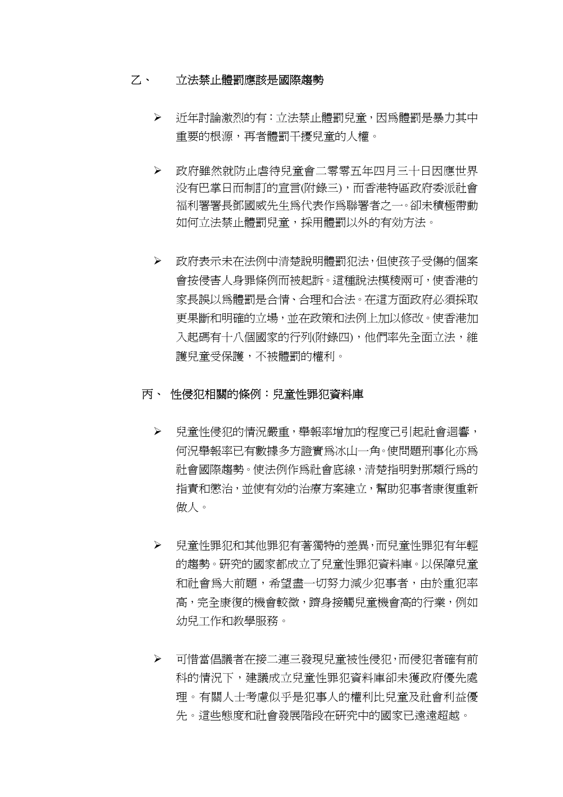### 乙、 立法禁止體罰應該是國際趨勢

- ¾ 近年討論激烈的有:立法禁止體罰兒童,因為體罰是暴力其中 重要的根源,再者體罰干擾兒童的人權。
- ¾ 政府雖然就防止虐待兒童會二零零五年四月三十日因應世界 没有巴掌日而制訂的宣言(附錄三),而香港特區政府委派社會 福利署署長鄧國威先生為代表作為聯署者之一。卻未積極帶動 如何立法禁止體罰兒童,採用體罰以外的有効方法。
- ¾ 政府表示未在法例中清楚說明體罰犯法,但使孩子受傷的個案 會按侵害人身罪條例而被起訴。這種說法模稜兩可,使香港的 家長誤以為體罰是合情、合理和合法。在這方面政府必須採取 更果斷和明確的立場,並在政策和法例上加以修改。使香港加 入起碼有十八個國家的行列(附錄四),他們率先全面立法,維 護兒童受保護,不被體罰的權利。

# 丙、 性侵犯相關的條例:兒童性罪犯資料庫

- ¾ 兒童性侵犯的情況嚴重,舉報率增加的程度己引起社會迴響, 何況舉報率已有數據多方證實為冰山一角。使問題刑事化亦為 社會國際趨勢。使法例作為社會底線,清楚指明對那類行為的 指責和懲治,並使有効的治療方案建立,幫助犯事者康復重新 做人。
- ¾ 兒童性罪犯和其他罪犯有著獨特的差異,而兒童性罪犯有年輕 的趨勢。研究的國家都成立了兒童性罪犯資料庫。以保障兒童 和社會為大前題,希望盡一切努力減少犯事者,由於重犯率 高,完全康復的機會較微,躋身接觸兒童機會高的行業,例如 幼兒工作和教學服務。
- ¾ 可惜當倡議者在接二連三發現兒童被性侵犯,而侵犯者確有前 科的情況下,建議成立兒童性罪犯資料庫卻未獲政府優先處 理。有關人士考慮似乎是犯事人的權利比兒童及社會利益優 先。這些態度和社會發展階段在研究中的國家已遠遠超越。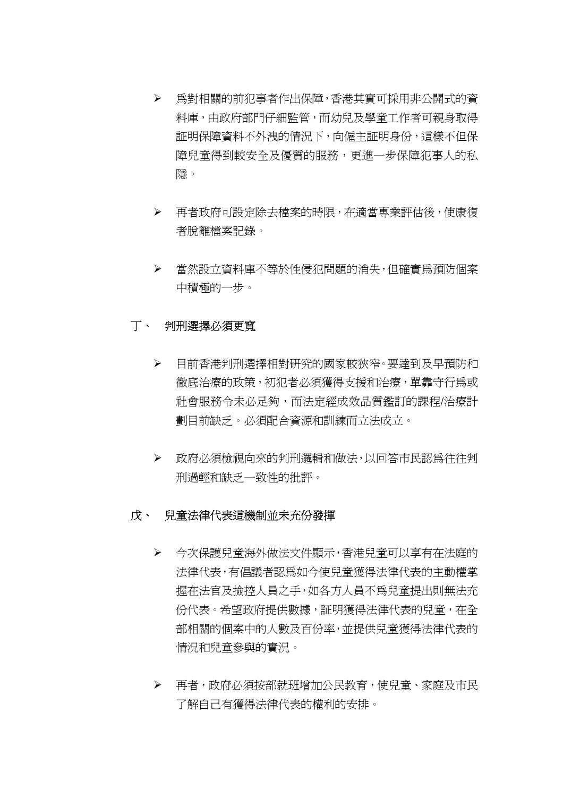- ¾ 為對相關的前犯事者作出保障,香港其實可採用非公開式的資 料庫,由政府部門仔細監管,而幼兒及學童工作者可親身取得 証明保障資料不外洩的情況下,向僱主証明身份,這樣不但保 障兒童得到較安全及優質的服務,更進一步保障犯事人的私 隱。
- ¾ 再者政府可設定除去檔案的時限,在適當專業評估後,使康復 者脫離檔案記錄。
- ¾ 當然設立資料庫不等於性侵犯問題的消失,但確實為預防個案 中積極的一步。

# 丁、 判刑選擇必須更寬

- ¾ 目前香港判刑選擇相對研究的國家較狹窄。要達到及早預防和 徹底治療的政策,初犯者必須獲得支援和治療,單靠守行為或 社會服務令未必足夠,而法定經成效品質鑑訂的課程/治療計 劃目前缺乏。必須配合資源和訓練而立法成立。
- ¾ 政府必須檢視向來的判刑邏輯和做法,以回答市民認為往往判 刑過輕和缺乏一致性的批評。

# 戊、 兒童法律代表這機制並未充份發揮

- ¾ 今次保護兒童海外做法文件顯示,香港兒童可以享有在法庭的 法律代表,有倡議者認為如今使兒童獲得法律代表的主動權掌 握在法官及撿控人員之手,如各方人員不為兒童提出則無法充 份代表。希望政府提供數據,証明獲得法律代表的兒童,在全 部相關的個案中的人數及百份率,並提供兒童獲得法律代表的 情況和兒童參與的實況。
- ¾ 再者,政府必須按部就班增加公民教育,使兒童、家庭及市民 了解自己有獲得法律代表的權利的安排。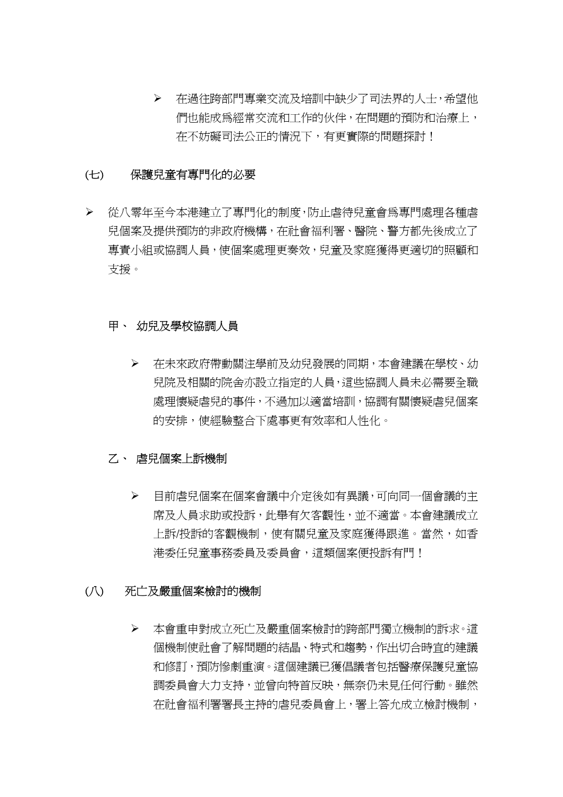¾ 在過往跨部門專業交流及培訓中缺少了司法界的人士,希望他 們也能成為經常交流和工作的伙伴,在問題的預防和治療上, 在不妨礙司法公正的情況下,有更實際的問題探討!

# (七) 保護兒童有專門化的必要

¾ 從八零年至今本港建立了專門化的制度,防止虐待兒童會為專門處理各種虐 兒個案及提供預防的非政府機構,在社會福利署、醫院、警方都先後成立了 專責小組或協調人員,使個案處理更奏效,兒童及家庭獲得更適切的照顧和 支援。

#### 甲、 幼兒及學校協調人員

¾ 在未來政府帶動關注學前及幼兒發展的同期,本會建議在學校、幼 兒院及相關的院舍亦設立指定的人員,這些協調人員未必需要全職 處理懷疑虐兒的事件,不過加以適當培訓,協調有關懷疑虐兒個案 的安排,使經驗整合下處事更有效率和人性化。

#### 乙、 虐兒個案上訴機制

¾ 目前虐兒個案在個案會議中介定後如有異議,可向同一個會議的主 席及人員求助或投訴,此舉有欠客觀性,並不適當。本會建議成立 上訴/投訴的客觀機制,使有關兒童及家庭獲得跟進。當然,如香 港委任兒童事務委員及委員會,這類個案便投訴有門!

#### (八) 死亡及嚴重個案檢討的機制

¾ 本會重申對成立死亡及嚴重個案檢討的跨部門獨立機制的訴求。這 個機制使社會了解問題的結晶、特式和趨勢,作出切合時宜的建議 和修訂, 預防慘劇重演。這個建議已獲倡議者包括醫療保護兒童協 調委員會大力支持,並曾向特首反映,無奈仍未見任何行動。雖然 在社會福利署署長主持的虐兒委員會上,署上答允成立檢討機制,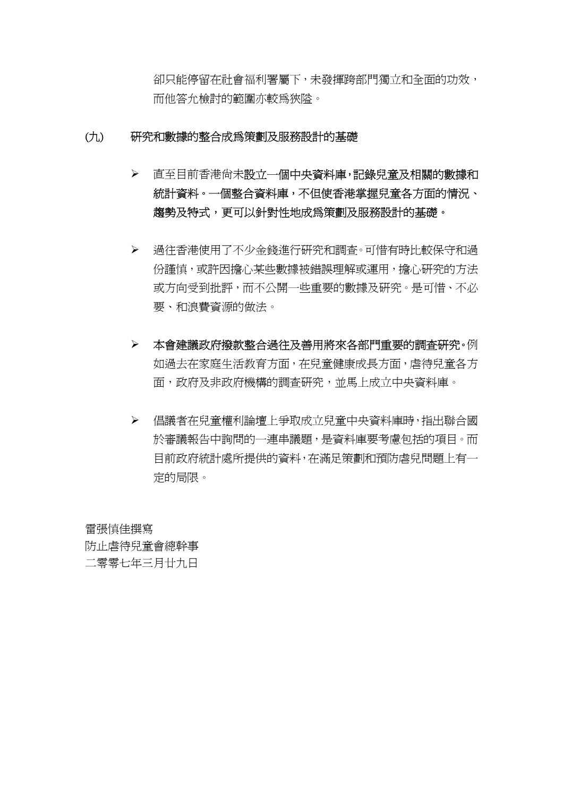卻只能停留在社會福利署屬下,未發揮跨部門獨立和全面的功效, 而他答允檢討的範圍亦較為狹隘。

# (九) 研究和數據的整合成為策劃及服務設計的基礎

- > 直至目前香港尚未設立一個中央資料庫,記錄兒童及相關的數據和 統計資料。一個整合資料庫,不但使香港掌握兒童各方面的情況、 趨勢及特式,更可以針對性地成為策劃及服務設計的基礎。
- ¾ 過往香港使用了不少金錢進行研究和調查。可惜有時比較保守和過 份謹慎,或許因擔心某些數據被錯誤理解或運用,擔心研究的方法 或方向受到批評,而不公開一些重要的數據及研究。是可惜、不必 要、和浪費資源的做法。
- ¾ 本會建議政府撥款整合過往及善用將來各部門重要的調查研究。例 如過去在家庭生活教育方面,在兒童健康成長方面,虐待兒童各方 面,政府及非政府機構的調查研究,並馬上成立中央資料庫。
- ¾ 倡議者在兒童權利論壇上爭取成立兒童中央資料庫時,指出聯合國 於審議報告中詢問的一連串議題,是資料庫要考慮包括的項目。而 目前政府統計處所提供的資料,在滿足策劃和預防虐兒問題上有一 定的局限。

雷張慎佳撰寫 防止虐待兒童會總幹事 二零零七年三月廿九日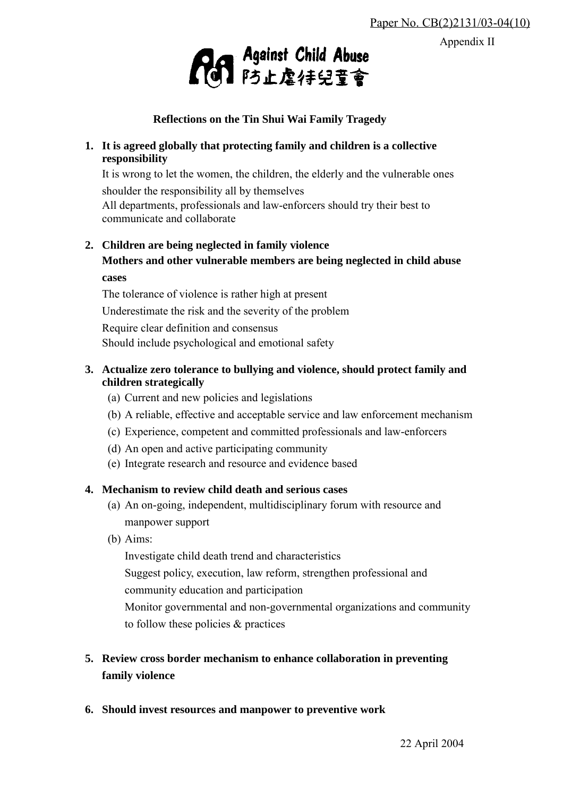Appendix II



**Reflections on the Tin Shui Wai Family Tragedy**

# **1. It is agreed globally that protecting family and children is a collective responsibility**

It is wrong to let the women, the children, the elderly and the vulnerable ones shoulder the responsibility all by themselves

All departments, professionals and law-enforcers should try their best to communicate and collaborate

**2. Children are being neglected in family violence Mothers and other vulnerable members are being neglected in child abuse**

# **cases**

 The tolerance of violence is rather high at present Underestimate the risk and the severity of the problem Require clear definition and consensus Should include psychological and emotional safety

# **3. Actualize zero tolerance to bullying and violence, should protect family and children strategically**

- (a) Current and new policies and legislations
- (b) A reliable, effective and acceptable service and law enforcement mechanism
- (c) Experience, competent and committed professionals and law-enforcers
- (d) An open and active participating community
- (e) Integrate research and resource and evidence based

# **4. Mechanism to review child death and serious cases**

- (a) An on-going, independent, multidisciplinary forum with resource and manpower support
- (b) Aims:

Investigate child death trend and characteristics Suggest policy, execution, law reform, strengthen professional and community education and participation Monitor governmental and non-governmental organizations and community to follow these policies & practices

# **5. Review cross border mechanism to enhance collaboration in preventing family violence**

**6. Should invest resources and manpower to preventive work**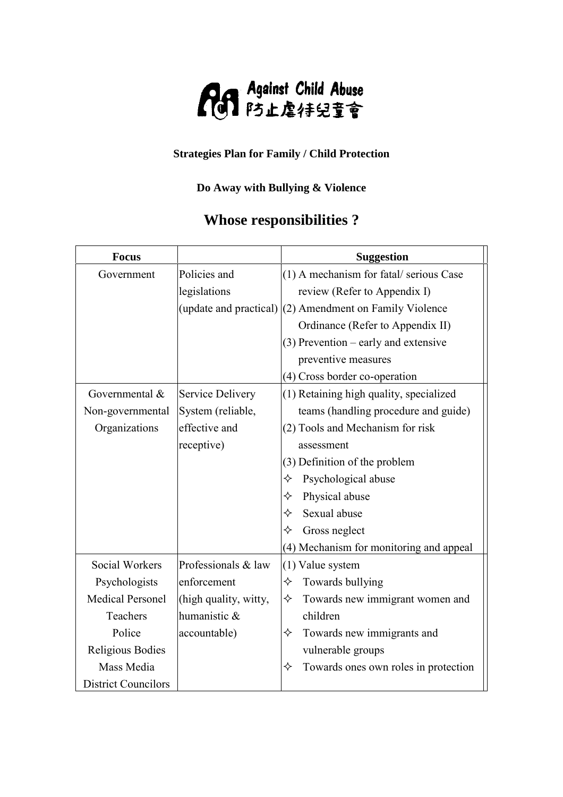

# **Strategies Plan for Family / Child Protection**

# **Do Away with Bullying & Violence**

# **Whose responsibilities ?**

| <b>Focus</b>               |                       | <b>Suggestion</b>                                         |
|----------------------------|-----------------------|-----------------------------------------------------------|
| Government                 | Policies and          | (1) A mechanism for fatal/serious Case                    |
|                            | legislations          | review (Refer to Appendix I)                              |
|                            |                       | (update and practical) $(2)$ Amendment on Family Violence |
|                            |                       | Ordinance (Refer to Appendix II)                          |
|                            |                       | $(3)$ Prevention – early and extensive                    |
|                            |                       | preventive measures                                       |
|                            |                       | (4) Cross border co-operation                             |
| Governmental &             | Service Delivery      | (1) Retaining high quality, specialized                   |
| Non-governmental           | System (reliable,     | teams (handling procedure and guide)                      |
| Organizations              | effective and         | (2) Tools and Mechanism for risk                          |
|                            | receptive)            | assessment                                                |
|                            |                       | (3) Definition of the problem                             |
|                            |                       | Psychological abuse<br>✧                                  |
|                            |                       | Physical abuse<br>✧                                       |
|                            |                       | Sexual abuse<br>✧                                         |
|                            |                       | Gross neglect<br>✧                                        |
|                            |                       | (4) Mechanism for monitoring and appeal                   |
| <b>Social Workers</b>      | Professionals & law   | $(1)$ Value system                                        |
| Psychologists              | enforcement           | Towards bullying<br>✧                                     |
| <b>Medical Personel</b>    | (high quality, witty, | Towards new immigrant women and<br>✧                      |
| Teachers                   | humanistic &          | children                                                  |
| Police                     | accountable)          | ✧<br>Towards new immigrants and                           |
| Religious Bodies           |                       | vulnerable groups                                         |
| Mass Media                 |                       | ✧<br>Towards ones own roles in protection                 |
| <b>District Councilors</b> |                       |                                                           |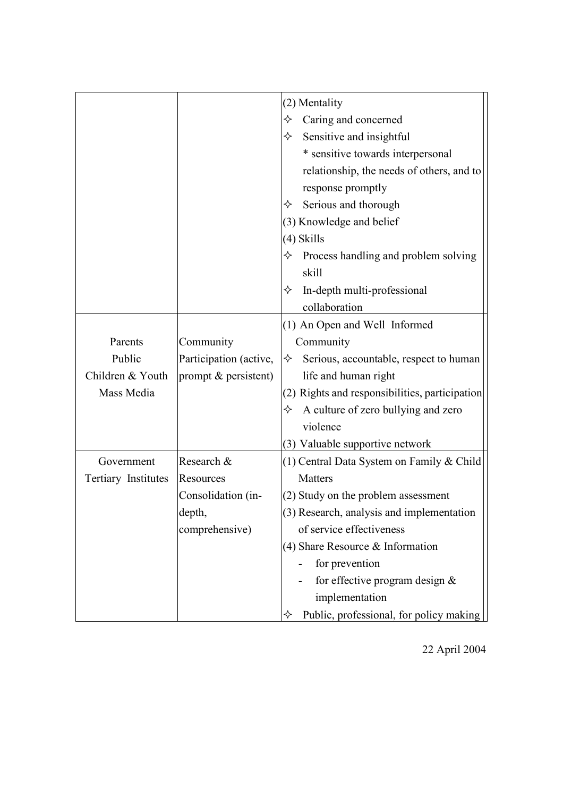|                     |                        | (2) Mentality                                  |
|---------------------|------------------------|------------------------------------------------|
|                     |                        | Caring and concerned<br>✧                      |
|                     |                        | Sensitive and insightful<br>✧                  |
|                     |                        | * sensitive towards interpersonal              |
|                     |                        | relationship, the needs of others, and to      |
|                     |                        | response promptly                              |
|                     |                        | Serious and thorough<br>✧                      |
|                     |                        | (3) Knowledge and belief                       |
|                     |                        | $(4)$ Skills                                   |
|                     |                        | Process handling and problem solving<br>✧      |
|                     |                        | skill                                          |
|                     |                        | In-depth multi-professional<br>✧               |
|                     |                        | collaboration                                  |
|                     |                        | (1) An Open and Well Informed                  |
| Parents             | Community              | Community                                      |
| Public              | Participation (active, | Serious, accountable, respect to human<br>✧    |
| Children & Youth    | prompt & persistent)   | life and human right                           |
| Mass Media          |                        | (2) Rights and responsibilities, participation |
|                     |                        | $\Diamond$ A culture of zero bullying and zero |
|                     |                        | violence                                       |
|                     |                        | (3) Valuable supportive network                |
| Government          | Research &             | $(1)$ Central Data System on Family & Child    |
| Tertiary Institutes | Resources              | Matters                                        |
|                     | Consolidation (in-     | (2) Study on the problem assessment            |
|                     | depth,                 | (3) Research, analysis and implementation      |
|                     | comprehensive)         | of service effectiveness                       |
|                     |                        | $(4)$ Share Resource & Information             |
|                     |                        | for prevention                                 |
|                     |                        | for effective program design $&$               |
|                     |                        | implementation                                 |
|                     |                        | Public, professional, for policy making        |

22 April 2004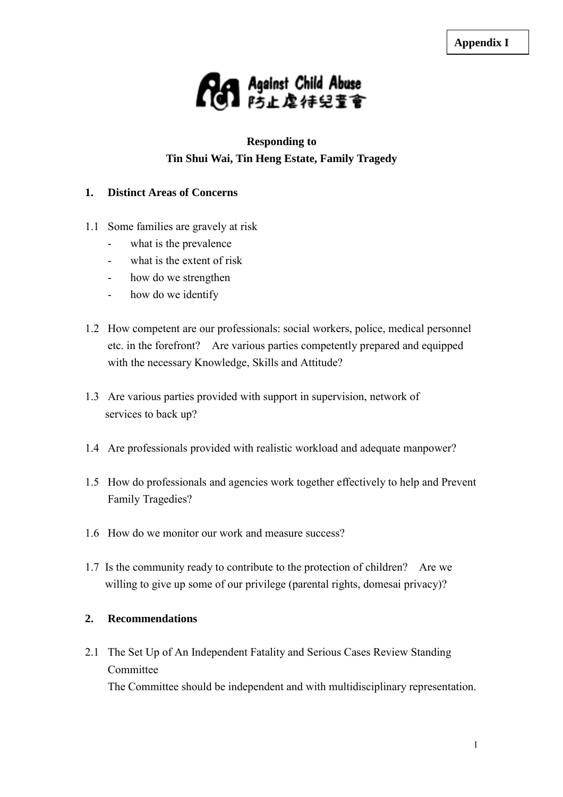

# **Responding to Tin Shui Wai, Tin Heng Estate, Family Tragedy**

# **1. Distinct Areas of Concerns**

- 1.1 Some families are gravely at risk
	- what is the prevalence
	- what is the extent of risk
	- how do we strengthen
	- how do we identify
- 1.2 How competent are our professionals: social workers, police, medical personnel etc. in the forefront? Are various parties competently prepared and equipped with the necessary Knowledge, Skills and Attitude?
- 1.3 Are various parties provided with support in supervision, network of services to back up?
- 1.4 Are professionals provided with realistic workload and adequate manpower?
- 1.5 How do professionals and agencies work together effectively to help and Prevent Family Tragedies?
- 1.6 How do we monitor our work and measure success?
- 1.7 Is the community ready to contribute to the protection of children? Are we willing to give up some of our privilege (parental rights, domesai privacy)?

### **2. Recommendations**

2.1 The Set Up of An Independent Fatality and Serious Cases Review Standing Committee

The Committee should be independent and with multidisciplinary representation.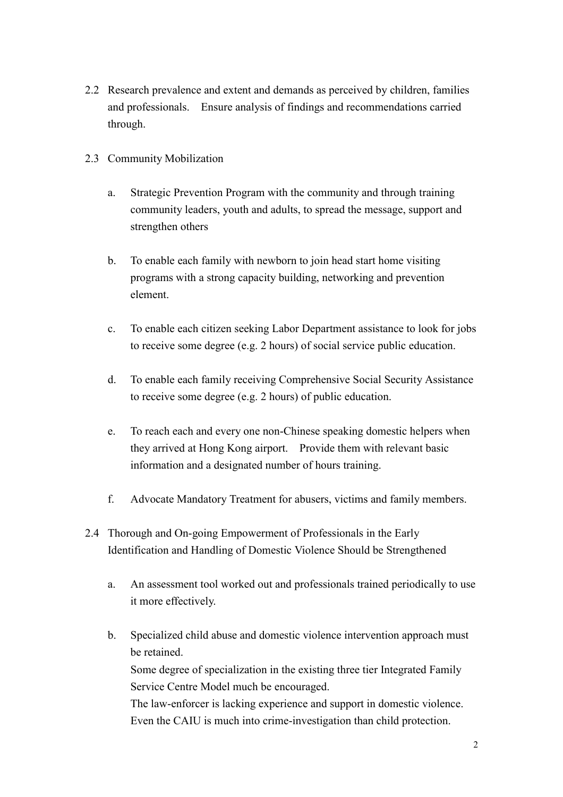- 2.2 Research prevalence and extent and demands as perceived by children, families and professionals. Ensure analysis of findings and recommendations carried through.
- 2.3 Community Mobilization
	- a. Strategic Prevention Program with the community and through training community leaders, youth and adults, to spread the message, support and strengthen others
	- b. To enable each family with newborn to join head start home visiting programs with a strong capacity building, networking and prevention element.
	- c. To enable each citizen seeking Labor Department assistance to look for jobs to receive some degree (e.g. 2 hours) of social service public education.
	- d. To enable each family receiving Comprehensive Social Security Assistance to receive some degree (e.g. 2 hours) of public education.
	- e. To reach each and every one non-Chinese speaking domestic helpers when they arrived at Hong Kong airport. Provide them with relevant basic information and a designated number of hours training.
	- f. Advocate Mandatory Treatment for abusers, victims and family members.
- 2.4 Thorough and On-going Empowerment of Professionals in the Early Identification and Handling of Domestic Violence Should be Strengthened
	- a. An assessment tool worked out and professionals trained periodically to use it more effectively.
	- b. Specialized child abuse and domestic violence intervention approach must be retained. Some degree of specialization in the existing three tier Integrated Family Service Centre Model much be encouraged. The law-enforcer is lacking experience and support in domestic violence. Even the CAIU is much into crime-investigation than child protection.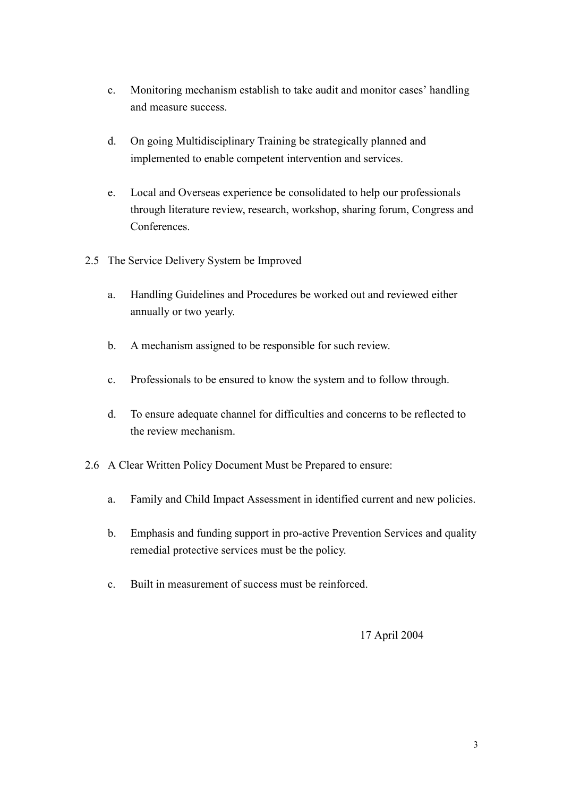- c. Monitoring mechanism establish to take audit and monitor cases' handling and measure success.
- d. On going Multidisciplinary Training be strategically planned and implemented to enable competent intervention and services.
- e. Local and Overseas experience be consolidated to help our professionals through literature review, research, workshop, sharing forum, Congress and **Conferences**
- 2.5 The Service Delivery System be Improved
	- a. Handling Guidelines and Procedures be worked out and reviewed either annually or two yearly.
	- b. A mechanism assigned to be responsible for such review.
	- c. Professionals to be ensured to know the system and to follow through.
	- d. To ensure adequate channel for difficulties and concerns to be reflected to the review mechanism.
- 2.6 A Clear Written Policy Document Must be Prepared to ensure:
	- a. Family and Child Impact Assessment in identified current and new policies.
	- b. Emphasis and funding support in pro-active Prevention Services and quality remedial protective services must be the policy.
	- c. Built in measurement of success must be reinforced.

17 April 2004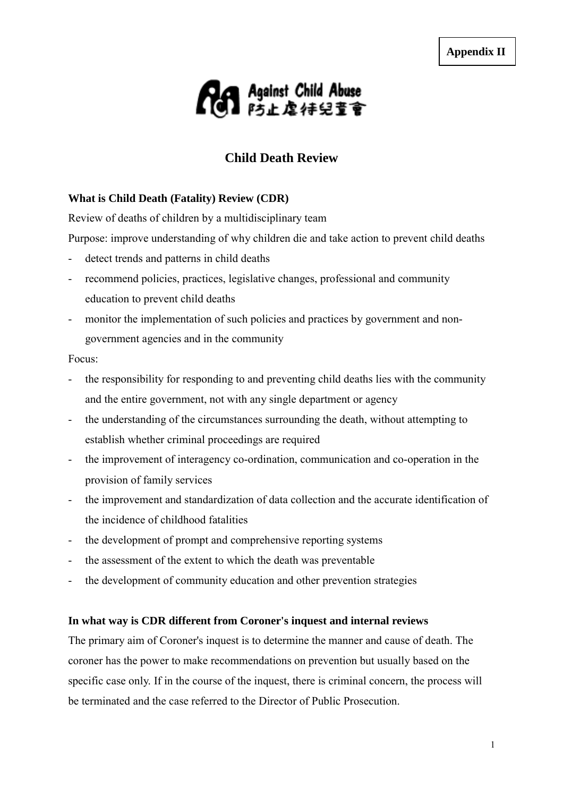

# **Child Death Review**

#### **What is Child Death (Fatality) Review (CDR)**

Review of deaths of children by a multidisciplinary team

Purpose: improve understanding of why children die and take action to prevent child deaths

- detect trends and patterns in child deaths
- recommend policies, practices, legislative changes, professional and community education to prevent child deaths
- monitor the implementation of such policies and practices by government and nongovernment agencies and in the community

#### Focus:

- the responsibility for responding to and preventing child deaths lies with the community and the entire government, not with any single department or agency
- the understanding of the circumstances surrounding the death, without attempting to establish whether criminal proceedings are required
- the improvement of interagency co-ordination, communication and co-operation in the provision of family services
- the improvement and standardization of data collection and the accurate identification of the incidence of childhood fatalities
- the development of prompt and comprehensive reporting systems
- the assessment of the extent to which the death was preventable
- the development of community education and other prevention strategies

#### **In what way is CDR different from Coroner's inquest and internal reviews**

The primary aim of Coroner's inquest is to determine the manner and cause of death. The coroner has the power to make recommendations on prevention but usually based on the specific case only. If in the course of the inquest, there is criminal concern, the process will be terminated and the case referred to the Director of Public Prosecution.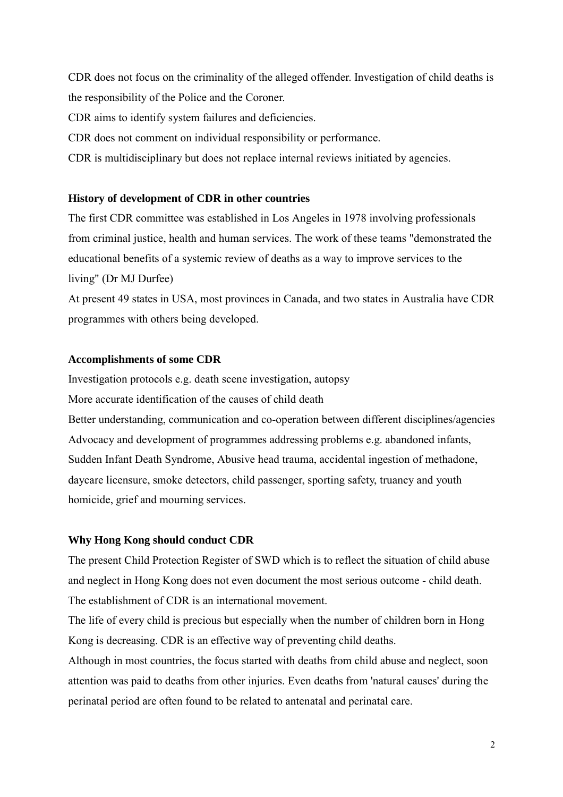CDR does not focus on the criminality of the alleged offender. Investigation of child deaths is the responsibility of the Police and the Coroner.

CDR aims to identify system failures and deficiencies.

CDR does not comment on individual responsibility or performance.

CDR is multidisciplinary but does not replace internal reviews initiated by agencies.

# **History of development of CDR in other countries**

The first CDR committee was established in Los Angeles in 1978 involving professionals from criminal justice, health and human services. The work of these teams "demonstrated the educational benefits of a systemic review of deaths as a way to improve services to the living" (Dr MJ Durfee)

At present 49 states in USA, most provinces in Canada, and two states in Australia have CDR programmes with others being developed.

# **Accomplishments of some CDR**

Investigation protocols e.g. death scene investigation, autopsy

More accurate identification of the causes of child death

Better understanding, communication and co-operation between different disciplines/agencies Advocacy and development of programmes addressing problems e.g. abandoned infants, Sudden Infant Death Syndrome, Abusive head trauma, accidental ingestion of methadone, daycare licensure, smoke detectors, child passenger, sporting safety, truancy and youth homicide, grief and mourning services.

# **Why Hong Kong should conduct CDR**

The present Child Protection Register of SWD which is to reflect the situation of child abuse and neglect in Hong Kong does not even document the most serious outcome - child death. The establishment of CDR is an international movement.

The life of every child is precious but especially when the number of children born in Hong Kong is decreasing. CDR is an effective way of preventing child deaths.

Although in most countries, the focus started with deaths from child abuse and neglect, soon attention was paid to deaths from other injuries. Even deaths from 'natural causes' during the perinatal period are often found to be related to antenatal and perinatal care.